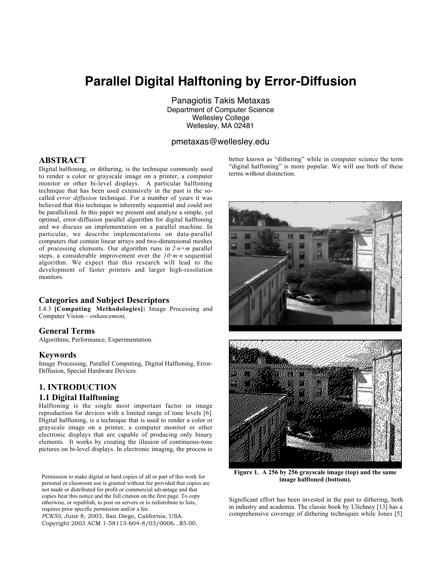# **Parallel Digital Halftoning by Error-Diffusion**

Panagiotis Takis Metaxas Department of Computer Science Wellesley College Wellesley, MA 02481

## pmetaxas@wellesley.edu

## **ABSTRACT**

Digital halftoning, or dithering, is the technique commonly used to render a color or grayscale image on a printer, a computer monitor or other bi-level displays. A particular halftoning technique that has been used extensively in the past is the socalled *error diffusion* technique. For a number of years it was believed that this technique is inherently sequential and could not be parallelized. In this paper we present and analyze a simple, yet optimal, error-diffusion parallel algorithm for digital halftoning and we discuss an implementation on a parallel machine. In particular, we describe implementations on data-parallel computers that contain linear arrays and two-dimensional meshes of processing elements. Our algorithm runs in *2·n+m* parallel steps, a considerable improvement over the *10·m·n* sequential algorithm. We expect that this research will lead to the development of faster printers and larger high-resolution monitors.

## **Categories and Subject Descriptors**

I.4.3 **[Computing Methodologies]:** Image Processing and Computer Vision – *enhancement,*.

#### **General Terms**

Algorithms, Performance, Experimentation.

#### **Keywords**

Image Processing, Parallel Computing, Digital Halftoning, Error-Diffusion, Special Hardware Devices.

# **1. INTRODUCTION 1.1 Digital Halftoning**

Halftoning is the single most important factor in image reproduction for devices with a limited range of tone levels [6]. Digital halftoning, is a technique that is used to render a color or grayscale image on a printer, a computer monitor or other electronic displays that are capable of producing only binary elements. It works by creating the illusion of continuous-tone pictures on bi-level displays. In electronic imaging, the process is

Permission to make digital or hard copies of all or part of this work for personal or classroom use is granted without fee provided that copies are not made or distributed for profit or commercial advantage and that copies bear this notice and the full citation on the first page. To copy otherwise, or republish, to post on servers or to redistribute to lists, requires prior specific permission and/or a fee.

*PCK50*, June 8, 2003, San Diego, California, USA. Copyright 2003 ACM 1-58113-604-8/03/0006…\$5.00. better known as "dithering" while in computer science the term "digital halftoning" is more popular. We will use both of these terms without distinction.



**Figure 1. A 256 by 256 grayscale image (top) and the same image halftoned (bottom).**

Significant effort has been invested in the past to dithering, both in industry and academia. The classic book by Ulichney [13] has a comprehensive coverage of dithering techniques while Jones [5]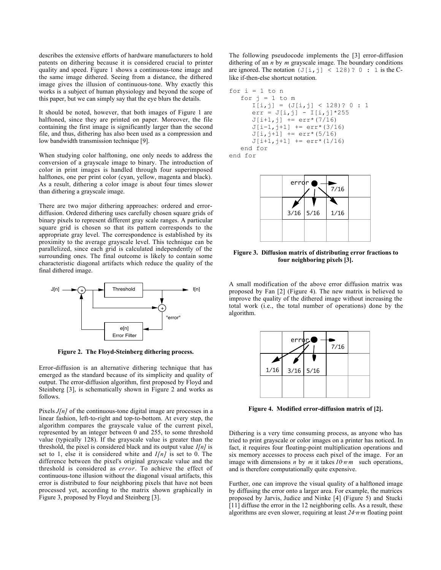describes the extensive efforts of hardware manufacturers to hold patents on dithering because it is considered crucial to printer quality and speed. Figure 1 shows a continuous-tone image and the same image dithered. Seeing from a distance, the dithered image gives the illusion of continuous-tone. Why exactly this works is a subject of human physiology and beyond the scope of this paper, but we can simply say that the eye blurs the details.

It should be noted, however, that both images of Figure 1 are halftoned, since they are printed on paper. Moreover, the file containing the first image is significantly larger than the second file, and thus, dithering has also been used as a compression and low bandwidth transmission technique [9].

When studying color halftoning, one only needs to address the conversion of a grayscale image to binary. The introduction of color in print images is handled through four superimposed halftones, one per print color (cyan, yellow, magenta and black). As a result, dithering a color image is about four times slower than dithering a grayscale image.

There are two major dithering approaches: ordered and errordiffusion. Ordered dithering uses carefully chosen square grids of binary pixels to represent different gray scale ranges. A particular square grid is chosen so that its pattern corresponds to the appropriate gray level. The correspondence is established by its proximity to the average grayscale level. This technique can be parallelized, since each grid is calculated independently of the surrounding ones. The final outcome is likely to contain some characteristic diagonal artifacts which reduce the quality of the final dithered image.



**Figure 2. The Floyd-Steinberg dithering process.**

Error-diffusion is an alternative dithering technique that has emerged as the standard because of its simplicity and quality of output. The error-diffusion algorithm, first proposed by Floyd and Steinberg [3], is schematically shown in Figure 2 and works as follows.

Pixels *J*[n] of the continuous-tone digital image are processes in a linear fashion, left-to-right and top-to-bottom. At every step, the algorithm compares the grayscale value of the current pixel, represented by an integer between 0 and 255, to some threshold value (typically 128). If the grayscale value is greater than the threshold, the pixel is considered black and its output value *I[n]* is set to 1, else it is considered white and *I[n]* is set to 0. The difference between the pixel's original grayscale value and the threshold is considered as *error*. To achieve the effect of continuous-tone illusion without the diagonal visual artifacts, this error is distributed to four neighboring pixels that have not been processed yet, according to the matrix shown graphically in Figure 3, proposed by Floyd and Steinberg [3].

The following pseudocode implements the [3] error-diffusion dithering of an *n* by *m* grayscale image. The boundary conditions are ignored. The notation  $(J[i, j] < 128)$ ? 0 : 1 is the Clike if-then-else shortcut notation.

for i = 1 to n for j = 1 to m I[i,j] = (J[i,j] < 128)? 0 : 1 err = J[i,j] - I[i,j]\*255 J[i+1,j] += err\*(7/16) J[i-1,j+1] += err\*(3/16) J[i,j+1] += err\*(5/16) J[i+1,j+1] += err\*(1/16) end for end for



**Figure 3. Diffusion matrix of distributing error fractions to four neighboring pixels [3].**

A small modification of the above error diffusion matrix was proposed by Fan [2] (Figure 4). The new matrix is believed to improve the quality of the dithered image without increasing the total work (i.e., the total number of operations) done by the algorithm.

|      | error'      | $7/16$ |  |
|------|-------------|--------|--|
| 1/16 | $3/16$ 5/16 |        |  |
|      |             |        |  |
|      |             |        |  |

**Figure 4. Modified error-diffusion matrix of [2].**

Dithering is a very time consuming process, as anyone who has tried to print grayscale or color images on a printer has noticed. In fact, it requires four floating-point multiplication operations and six memory accesses to process each pixel of the image. For an image with dimensions  $\overline{n}$  by  $\overline{m}$  it takes  $10 \cdot \overline{n} \cdot \overline{m}$  such operations, and is therefore computationally quite expensive.

Further, one can improve the visual quality of a halftoned image by diffusing the error onto a larger area. For example, the matrices proposed by Jarvis, Judice and Ninke [4] (Figure 5) and Stucki [11] diffuse the error in the 12 neighboring cells. As a result, these algorithms are even slower, requiring at least *24·n·m* floating point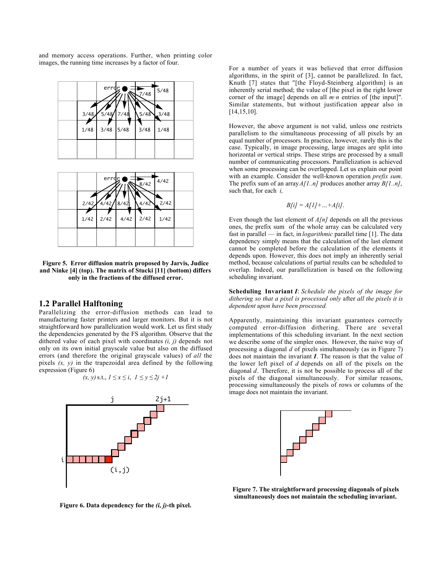and memory access operations. Further, when printing color images, the running time increases by a factor of four.





**Figure 5. Error diffusion matrix proposed by Jarvis, Judice and Ninke [4] (top). The matrix of Stucki [11] (bottom) differs only in the fractions of the diffused error.**

## **1.2 Parallel Halftoning**

Parallelizing the error-diffusion methods can lead to manufacturing faster printers and larger monitors. But it is not straightforward how parallelization would work. Let us first study the dependencies generated by the FS algorithm. Observe that the dithered value of each pixel with coordinates *(i, j)* depends not only on its own initial grayscale value but also on the diffused errors (and therefore the original grayscale values) of *all* the pixels  $(x, y)$  in the trapezoidal area defined by the following expression (Figure 6)

$$
(x, y)
$$
 s.t.,  $1 \le x \le i$ ,  $1 \le y \le 2j + 1$ 



For a number of years it was believed that error diffusion algorithms, in the spirit of [3], cannot be parallelized. In fact, Knuth [7] states that "[the Floyd-Steinberg algorithm] is an inherently serial method; the value of [the pixel in the right lower corner of the image] depends on all *m·n* entries of [the input]". Similar statements, but without justification appear also in [14,15,10].

However, the above argument is not valid, unless one restricts parallelism to the simultaneous processing of all pixels by an equal number of processors. In practice, however, rarely this is the case. Typically, in image processing, large images are split into horizontal or vertical strips. These strips are processed by a small number of communicating processors. Parallelization is achieved when some processing can be overlapped. Let us explain our point with an example. Consider the well-known operation *prefix sum*. The prefix sum of an array *A[1..n]* produces another array *B[1..n]*, such that, for each *i,*

$$
B[i] = A[1] + ... + A[i].
$$

Even though the last element of *A[n]* depends on all the previous ones, the prefix sum of the whole array can be calculated very fast in parallel — in fact, in *logarithmic* parallel time [1]. The data dependency simply means that the calculation of the last element cannot be completed before the calculation of the elements it depends upon. However, this does not imply an inherently serial method, because calculations of partial results can be scheduled to overlap. Indeed, our parallelization is based on the following scheduling invariant.

**Scheduling Invariant** *I*: *Schedule the pixels of the image for dithering so that a pixel is processed only* after *all the pixels it is dependent upon have been processed.*

Apparently, maintaining this invariant guarantees correctly computed error-diffusion dithering. There are several implementations of this scheduling invariant. In the next section we describe some of the simpler ones. However, the naive way of processing a diagonal *d* of pixels simultaneously (as in Figure 7) does not maintain the invariant *I*. The reason is that the value of the lower left pixel of *d* depends on all of the pixels on the diagonal *d*. Therefore, it is not be possible to process all of the pixels of the diagonal simultaneously. For similar reasons, processing simultaneously the pixels of rows or columns of the image does not maintain the invariant.



**Figure 7. The straightforward processing diagonals of pixels simultaneously does not maintain the scheduling invariant.**

**Figure 6. Data dependency for the** *(i, j)***-th pixel.**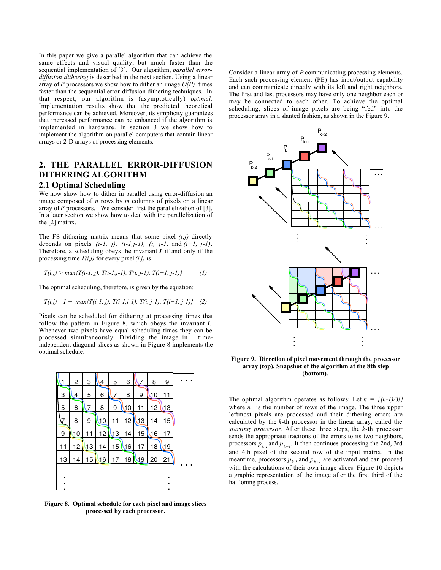In this paper we give a parallel algorithm that can achieve the same effects and visual quality, but much faster than the sequential implementation of [3]. Our algorithm, *parallel errordiffusion dithering* is described in the next section. Using a linear array of *P* processors we show how to dither an image  $O(P)$  times faster than the sequential error-diffusion dithering techniques. In that respect, our algorithm is (asymptotically) *optimal*. Implementation results show that the predicted theoretical performance can be achieved. Moreover, its simplicity guarantees that increased performance can be enhanced if the algorithm is implemented in hardware. In section 3 we show how to implement the algorithm on parallel computers that contain linear arrays or 2-D arrays of processing elements.

# **2. THE PARALLEL ERROR-DIFFUSION DITHERING ALGORITHM 2.1 Optimal Scheduling**

We now show how to dither in parallel using error-diffusion an image composed of *n* rows by *m* columns of pixels on a linear array of *P* processors. We consider first the parallelization of [3]. In a later section we show how to deal with the parallelization of the [2] matrix.

The FS dithering matrix means that some pixel *(i,j)* directly depends on pixels *(i-1, j), (i-1,j-1), (i, j-1)* and *(i+1, j-1)*. Therefore, a scheduling obeys the invariant  $I$  if and only if the processing time *T(i,j)* for every pixel *(i,j)* is

$$
T(i,j) > max\{T(i-1,j), T(i-1,j-1), T(i,j-1), T(i+1,j-1)\}
$$
 (1)

The optimal scheduling, therefore, is given by the equation:

$$
T(i,j) = 1 + \max\{T(i-1,j), T(i-1,j-1), T(i,j-1), T(i+1,j-1)\} \quad (2)
$$

Pixels can be scheduled for dithering at processing times that follow the pattern in Figure 8, which obeys the invariant *I*. Whenever two pixels have equal scheduling times they can be processed simultaneously. Dividing the image in timeindependent diagonal slices as shown in Figure 8 implements the optimal schedule.



**Figure 8. Optimal schedule for each pixel and image slices processed by each processor.**

Consider a linear array of *P* communicating processing elements. Each such processing element (PE) has input/output capability and can communicate directly with its left and right neighbors. The first and last processors may have only one neighbor each or may be connected to each other. To achieve the optimal scheduling, slices of image pixels are being "fed" into the processor array in a slanted fashion, as shown in the Figure 9.



**Figure 9. Direction of pixel movement through the processor array (top). Snapshot of the algorithm at the 8th step (bottom).**

The optimal algorithm operates as follows: Let  $k = \frac{\left(\frac{n-1}{3}\right)^2}{2}$ where  $n$  is the number of rows of the image. The three upper leftmost pixels are processed and their dithering errors are calculated by the *k*-th processor in the linear array, called the *starting processor*. After these three steps, the *k*-th processor sends the appropriate fractions of the errors to its two neighbors, processors  $p_{k-1}$  and  $p_{k+1}$ . It then continues processing the 2nd, 3rd and 4th pixel of the second row of the input matrix. In the meantime, processors  $p_{k-1}$  and  $p_{k+1}$  are activated and can proceed with the calculations of their own image slices. Figure 10 depicts a graphic representation of the image after the first third of the halftoning process.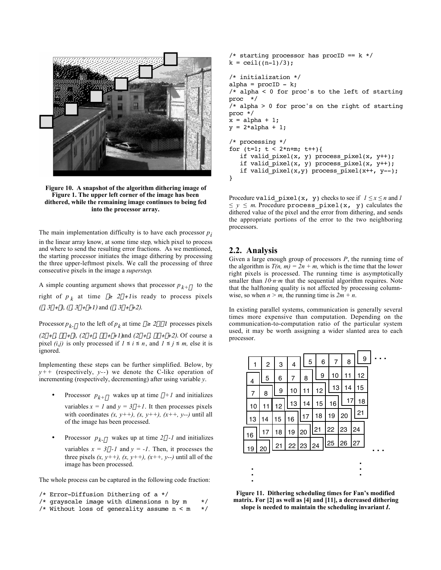

**Figure 10. A snapshot of the algorithm dithering image of Figure 1. The upper left corner of the image has been dithered, while the remaining image continues to being fed into the processor array.**

The main implementation difficulty is to have each processor  $p_i$ in the linear array know, at some time step*,* which pixel to process and where to send the resulting error fractions. As we mentioned, the starting processor initiates the image dithering by processing the three upper-leftmost pixels. We call the processing of three consecutive pixels in the image a *superstep*.

A simple counting argument shows that processor  $p_{k+\alpha}$  to the right of  $p_k$  at time  $\tau \ge 2\alpha + 1$  is ready to process pixels  $(\tau, 3\alpha+\tau)$ ,  $(\tau, 3\alpha+\tau+1)$  and  $(\tau, 3\alpha+\tau+2)$ .

Processor  $p_{k-\alpha}$  to the left of  $p_k$  at time  $\tau \ge 2\alpha - 1$  processes pixels

 $(2\alpha+\tau, -\alpha+\tau)$ ,  $(2\alpha+\tau, -\alpha+\tau+1)$  and  $(2\alpha+\tau, -\alpha+\tau+2)$ . Of course a pixel *(i,j)* is only processed if  $1 \le i \le n$ , and  $1 \le j \le m$ , else it is ignored.

Implementing these steps can be further simplified. Below, by  $y++$  (respectively, *y*--) we denote the C-like operation of incrementing (respectively, decrementing) after using variable *y*.

> Processor  $p_{k+\alpha}$  wakes up at time  $\alpha+1$  and initializes variables  $x = 1$  and  $y = 3\alpha + 1$ . It then processes pixels with coordinates  $(x, y++)$ ,  $(x, y++)$ ,  $(x++, y--)$  until all

of the image has been processed.

Processor  $p_{k-\alpha}$  wakes up at time  $2\alpha-1$  and initializes variables  $x = 3\alpha - 1$  and  $y = -1$ . Then, it processes the

three pixels  $(x, y++)$ ,  $(x, y++)$ ,  $(x++)$ ,  $(x++)$ ,  $(y-)$  until all of the image has been processed.

The whole process can be captured in the following code fraction:

```
/* Error-Diffusion Dithering of a */
```

```
/* grayscale image with dimensions n by m */
```

```
/* Without loss of generality assume n < m */
```

```
/* starting processor has procID == k */
k = \text{ceil}((n-1)/3);
/* initialization */
alpha = procID - k;/* alpha < 0 for proc's to the left of starting
proc */
/* alpha > 0 for proc's on the right of starting
proc */
x = alpha + 1;y = 2 * alpha + 1;/* processing */
for (t=1; t < 2*n+m; t++){
    if valid_pixel(x, y) process_pixel(x, y++);
    if valid_pixel(x, y) process_pixel(x, y++);
   if valid pixel(x,y) process pixel(x++), y--);
}
```
Procedure valid\_pixel(x, y) checks to see if  $1 \le x \le n$  and *1 ≤ y ≤ m*. Procedure process\_pixel(x, y) calculates the dithered value of the pixel and the error from dithering, and sends the appropriate portions of the error to the two neighboring processors.

## **2.2. Analysis**

Given a large enough group of processors *P*, the running time of the algorithm is  $T(n, m) = 2n + m$ , which is the time that the lower right pixels is processed. The running time is asymptotically smaller than  $10 \cdot n \cdot m$  that the sequential algorithm requires. Note that the halftoning quality is not affected by processing columnwise, so when  $n > m$ , the running time is  $2m + n$ .

In existing parallel systems, communication is generally several times more expensive than computation. Depending on the communication-to-computation ratio of the particular system used, it may be worth assigning a wider slanted area to each processor.

|    | 1  | $\overline{c}$ | 3               | 4     |          | 5  |    | 6               | 7 |    |    | 8  |    | 9        |  |  |
|----|----|----------------|-----------------|-------|----------|----|----|-----------------|---|----|----|----|----|----------|--|--|
|    | 4  | 5              | 6               | 7     |          | 8  |    | 9               |   | 10 |    | 11 |    | 12<br>15 |  |  |
|    | 7  | 8              | 9               | 10    | 11<br>14 |    |    | 12              |   | 13 | 14 |    |    |          |  |  |
|    | 10 | 11             | 12              | 13    |          |    |    | 15              |   | 16 |    | 17 |    | 18       |  |  |
|    | 13 | 14             | 15              | 16    |          | 17 |    | 18              |   | 19 |    | 20 |    | 21       |  |  |
|    | 16 | 17             | 18              | 19    |          | 20 |    | $\overline{21}$ |   | 22 |    | 23 |    | 24       |  |  |
| 19 |    | 20             | $\overline{21}$ | 22 23 |          |    | 24 |                 |   | 25 |    | 26 | 27 |          |  |  |
|    |    |                |                 |       |          |    |    |                 |   |    |    |    |    |          |  |  |
|    |    |                |                 |       |          |    |    |                 |   |    |    |    |    |          |  |  |
|    | ٠  |                |                 |       |          |    |    |                 |   |    |    |    |    |          |  |  |

**Figure 11. Dithering scheduling times for Fan's modified matrix. For [2] as well as [4] and [11], a decreased dithering slope is needed to maintain the scheduling invariant** *I***.**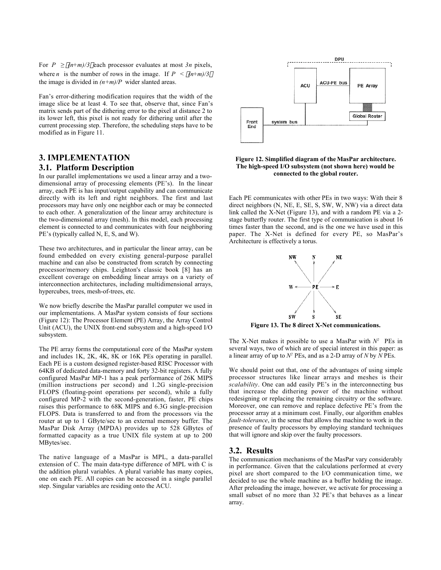For  $P \ge \frac{f(n+m)}{3}$  each processor evaluates at most  $3n$  pixels, where *n* is the number of rows in the image. If  $P \leq \frac{\lceil (n+m)/3 \rceil}{2}$ the image is divided in  $(n+m)/P$  wider slanted areas.

Fan's error-dithering modification requires that the width of the image slice be at least 4. To see that, observe that, since Fan's matrix sends part of the dithering error to the pixel at distance 2 to its lower left, this pixel is not ready for dithering until after the current processing step. Therefore, the scheduling steps have to be modified as in Figure 11.

# **3. IMPLEMENTATION**

## **3.1. Platform Description**

In our parallel implementations we used a linear array and a twodimensional array of processing elements (PE's). In the linear array, each PE is has input/output capability and can communicate directly with its left and right neighbors. The first and last processors may have only one neighbor each or may be connected to each other. A generalization of the linear array architecture is the two-dimensional array (mesh). In this model, each processing element is connected to and communicates with four neighboring PE's (typically called N, E, S, and W).

These two architectures, and in particular the linear array, can be found embedded on every existing general-purpose parallel machine and can also be constructed from scratch by connecting processor/memory chips. Leighton's classic book [8] has an excellent coverage on embedding linear arrays on a variety of interconnection architectures, including multidimensional arrays, hypercubes, trees, mesh-of-trees, etc.

We now briefly describe the MasPar parallel computer we used in our implementations. A MasPar system consists of four sections (Figure 12): The Processor Element (PE) Array, the Array Control Unit (ACU), the UNIX front-end subsystem and a high-speed I/O subsystem.

The PE array forms the computational core of the MasPar system and includes 1K, 2K, 4K, 8K or 16K PEs operating in parallel. Each PE is a custom designed register-based RISC Processor with 64KB of dedicated data-memory and forty 32-bit registers. A fully configured MasPar MP-1 has a peak performance of 26K MIPS (million instructions per second) and 1.2G single-precision FLOPS (floating-point operations per second), while a fully configured MP-2 with the second-generation, faster, PE chips raises this performance to 68K MIPS and 6.3G single-precision FLOPS. Data is transferred to and from the processors via the router at up to 1 GByte/sec to an external memory buffer. The MasPar Disk Array (MPDA) provides up to 528 GBytes of formatted capacity as a true UNIX file system at up to 200 MBytes/sec.

The native language of a MasPar is MPL, a data-parallel extension of C. The main data-type difference of MPL with C is the addition plural variables. A plural variable has many copies, one on each PE. All copies can be accessed in a single parallel step. Singular variables are residing onto the ACU.



**Figure 12. Simplified diagram of the MasPar architecture. The high-speed I/O subsystem (not shown here) would be connected to the global router.**

Each PE communicates with other PEs in two ways: With their 8 direct neighbors (N, NE, E, SE, S, SW, W, NW) via a direct data link called the X-Net (Figure 13), and with a random PE via a 2 stage butterfly router. The first type of communication is about 16 times faster than the second, and is the one we have used in this paper. The X-Net is defined for every PE, so MasPar's Architecture is effectively a torus.



**Figure 13. The 8 direct X-Net communications.**

The X-Net makes it possible to use a MasPar with  $N^2$  PEs in several ways, two of which are of special interest in this paper: as a linear array of up to  $N^2$  PEs, and as a 2-D array of *N* by  $\hat{N}$  PEs.

We should point out that, one of the advantages of using simple processor structures like linear arrays and meshes is their *scalability*. One can add easily PE's in the interconnecting bus that increase the dithering power of the machine without redesigning or replacing the remaining circuitry or the software. Moreover, one can remove and replace defective PE's from the processor array at a minimum cost. Finally, our algorithm enables *fault-tolerance*, in the sense that allows the machine to work in the presence of faulty processors by employing standard techniques that will ignore and skip over the faulty processors.

### **3.2. Results**

The communication mechanisms of the MasPar vary considerably in performance. Given that the calculations performed at every pixel are short compared to the I/O communication time, we decided to use the whole machine as a buffer holding the image. After preloading the image, however, we activate for processing a small subset of no more than 32 PE's that behaves as a linear array.